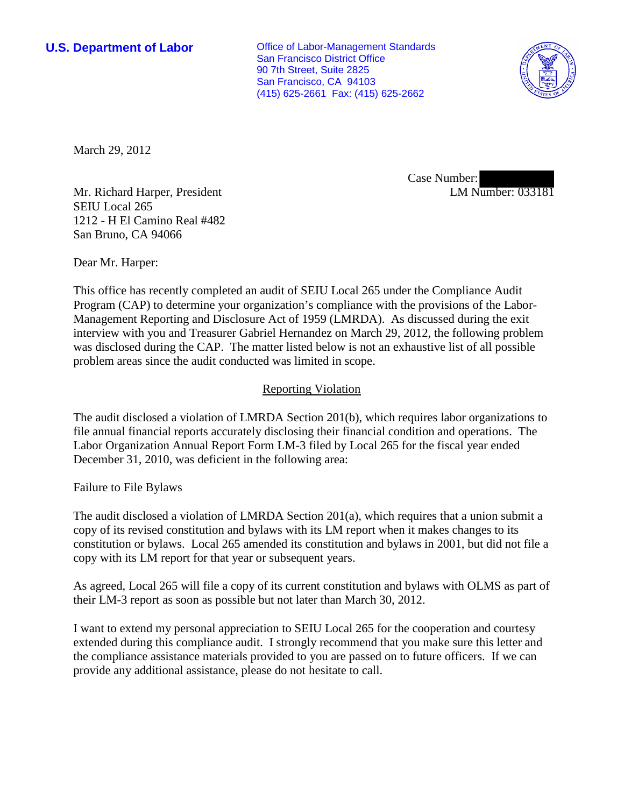**U.S. Department of Labor Conservative Conservative Conservative Conservative Conservative Conservative Conservative Conservative Conservative Conservative Conservative Conservative Conservative Conservative Conservative** San Francisco District Office 90 7th Street, Suite 2825 San Francisco, CA 94103 (415) 625-2661 Fax: (415) 625-2662



March 29, 2012

Case Number: LM Number: 033181

Mr. Richard Harper, President SEIU Local 265 1212 - H El Camino Real #482 San Bruno, CA 94066

Dear Mr. Harper:

This office has recently completed an audit of SEIU Local 265 under the Compliance Audit Program (CAP) to determine your organization's compliance with the provisions of the Labor-Management Reporting and Disclosure Act of 1959 (LMRDA). As discussed during the exit interview with you and Treasurer Gabriel Hernandez on March 29, 2012, the following problem was disclosed during the CAP. The matter listed below is not an exhaustive list of all possible problem areas since the audit conducted was limited in scope.

## Reporting Violation

The audit disclosed a violation of LMRDA Section 201(b), which requires labor organizations to file annual financial reports accurately disclosing their financial condition and operations. The Labor Organization Annual Report Form LM-3 filed by Local 265 for the fiscal year ended December 31, 2010, was deficient in the following area:

Failure to File Bylaws

The audit disclosed a violation of LMRDA Section 201(a), which requires that a union submit a copy of its revised constitution and bylaws with its LM report when it makes changes to its constitution or bylaws. Local 265 amended its constitution and bylaws in 2001, but did not file a copy with its LM report for that year or subsequent years.

As agreed, Local 265 will file a copy of its current constitution and bylaws with OLMS as part of their LM-3 report as soon as possible but not later than March 30, 2012.

I want to extend my personal appreciation to SEIU Local 265 for the cooperation and courtesy extended during this compliance audit. I strongly recommend that you make sure this letter and the compliance assistance materials provided to you are passed on to future officers. If we can provide any additional assistance, please do not hesitate to call.